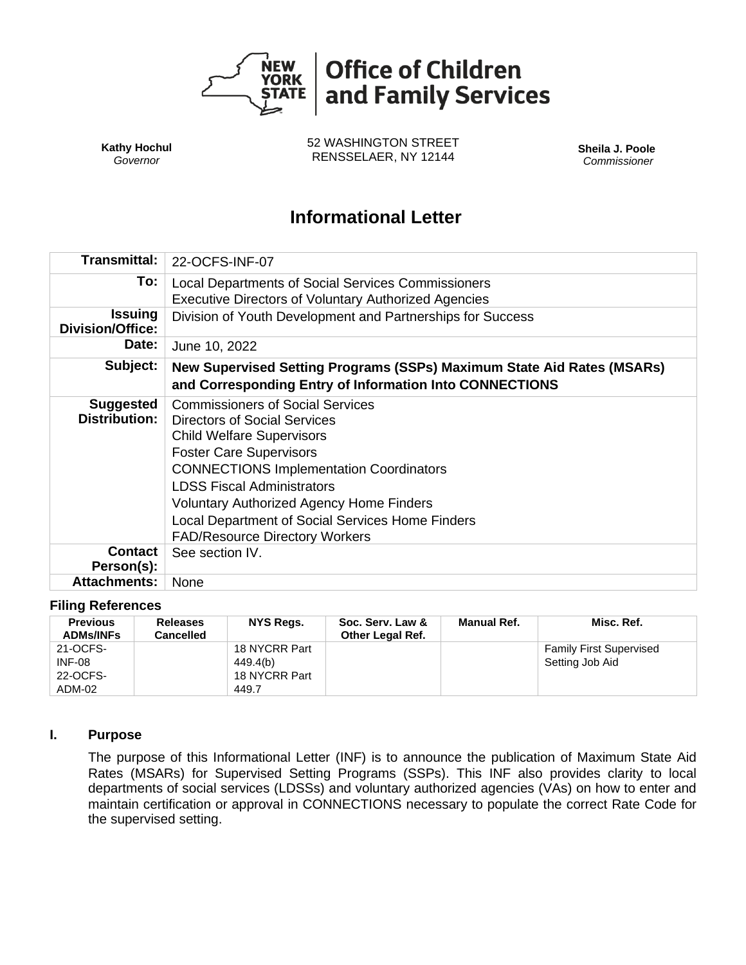

**Kathy Hochul** *Governor*

52 WASHINGTON STREET RENSSELAER, NY 12144 **Sheila J. Poole**

*Commissioner*

# **Informational Letter**

| <b>Transmittal:</b>                      | 22-OCFS-INF-07                                                                                                                                                                                                                                                                                                                                                                       |  |  |  |  |
|------------------------------------------|--------------------------------------------------------------------------------------------------------------------------------------------------------------------------------------------------------------------------------------------------------------------------------------------------------------------------------------------------------------------------------------|--|--|--|--|
| To:                                      | Local Departments of Social Services Commissioners                                                                                                                                                                                                                                                                                                                                   |  |  |  |  |
|                                          | <b>Executive Directors of Voluntary Authorized Agencies</b>                                                                                                                                                                                                                                                                                                                          |  |  |  |  |
| <b>Issuing</b><br>Division/Office:       | Division of Youth Development and Partnerships for Success                                                                                                                                                                                                                                                                                                                           |  |  |  |  |
| <b>Date:</b>                             | June 10, 2022                                                                                                                                                                                                                                                                                                                                                                        |  |  |  |  |
| Subject:                                 | New Supervised Setting Programs (SSPs) Maximum State Aid Rates (MSARs)<br>and Corresponding Entry of Information Into CONNECTIONS                                                                                                                                                                                                                                                    |  |  |  |  |
| <b>Suggested</b><br><b>Distribution:</b> | <b>Commissioners of Social Services</b><br>Directors of Social Services<br><b>Child Welfare Supervisors</b><br><b>Foster Care Supervisors</b><br><b>CONNECTIONS Implementation Coordinators</b><br><b>LDSS Fiscal Administrators</b><br><b>Voluntary Authorized Agency Home Finders</b><br>Local Department of Social Services Home Finders<br><b>FAD/Resource Directory Workers</b> |  |  |  |  |
| <b>Contact</b><br>Person(s):             | See section IV.                                                                                                                                                                                                                                                                                                                                                                      |  |  |  |  |
| <b>Attachments:</b>                      | None                                                                                                                                                                                                                                                                                                                                                                                 |  |  |  |  |

### **Filing References**

| <b>Previous</b><br><b>ADMs/INFs</b> | <b>Releases</b><br>Cancelled | NYS Regs.     | Soc. Serv. Law &<br><b>Other Legal Ref.</b> | Manual Ref. | Misc. Ref.                     |
|-------------------------------------|------------------------------|---------------|---------------------------------------------|-------------|--------------------------------|
| 21-OCFS-                            |                              | 18 NYCRR Part |                                             |             | <b>Family First Supervised</b> |
| <b>INF-08</b>                       |                              | 449.4(b)      |                                             |             | Setting Job Aid                |
| 22-OCFS-                            |                              | 18 NYCRR Part |                                             |             |                                |
| ADM-02                              |                              | 449.7         |                                             |             |                                |

### **I. Purpose**

The purpose of this Informational Letter (INF) is to announce the publication of Maximum State Aid Rates (MSARs) for Supervised Setting Programs (SSPs). This INF also provides clarity to local departments of social services (LDSSs) and voluntary authorized agencies (VAs) on how to enter and maintain certification or approval in CONNECTIONS necessary to populate the correct Rate Code for the supervised setting.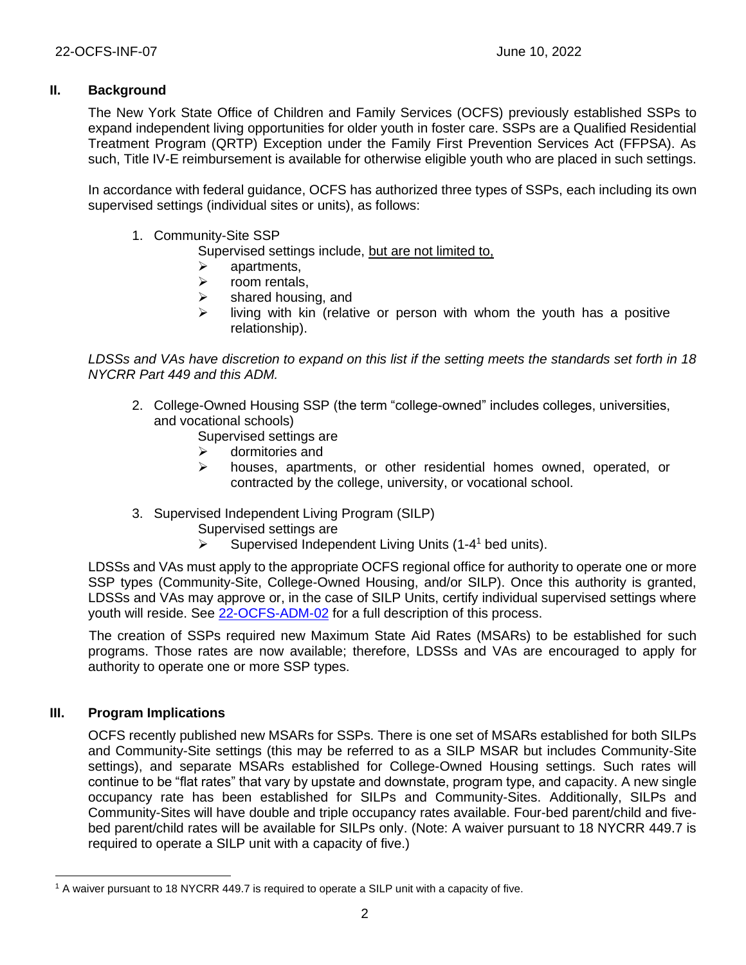# **II. Background**

The New York State Office of Children and Family Services (OCFS) previously established SSPs to expand independent living opportunities for older youth in foster care. SSPs are a Qualified Residential Treatment Program (QRTP) Exception under the Family First Prevention Services Act (FFPSA). As such, Title IV-E reimbursement is available for otherwise eligible youth who are placed in such settings.

In accordance with federal guidance, OCFS has authorized three types of SSPs, each including its own supervised settings (individual sites or units), as follows:

- 1. Community-Site SSP
	- Supervised settings include, but are not limited to,
		- $\triangleright$  apartments.
	- ➢ room rentals,
	- $\triangleright$  shared housing, and
	- $\triangleright$  living with kin (relative or person with whom the youth has a positive relationship).

*LDSSs and VAs have discretion to expand on this list if the setting meets the standards set forth in 18 NYCRR Part 449 and this ADM.*

- 2. College-Owned Housing SSP (the term "college-owned" includes colleges, universities, and vocational schools)
	- Supervised settings are
	- ➢ dormitories and
	- ➢ houses, apartments, or other residential homes owned, operated, or contracted by the college, university, or vocational school.
- 3. Supervised Independent Living Program (SILP)
	- Supervised settings are
	- ➢ Supervised Independent Living Units (1-4 <sup>1</sup> bed units).

LDSSs and VAs must apply to the appropriate OCFS regional office for authority to operate one or more SSP types (Community-Site, College-Owned Housing, and/or SILP). Once this authority is granted, LDSSs and VAs may approve or, in the case of SILP Units, certify individual supervised settings where youth will reside. See [22-OCFS-ADM-02](https://ocfs.ny.gov/main/policies/external/2022/adm/22-OCFS-ADM-02.docx) for a full description of this process.

The creation of SSPs required new Maximum State Aid Rates (MSARs) to be established for such programs. Those rates are now available; therefore, LDSSs and VAs are encouraged to apply for authority to operate one or more SSP types.

## **III. Program Implications**

OCFS recently published new MSARs for SSPs. There is one set of MSARs established for both SILPs and Community-Site settings (this may be referred to as a SILP MSAR but includes Community-Site settings), and separate MSARs established for College-Owned Housing settings. Such rates will continue to be "flat rates" that vary by upstate and downstate, program type, and capacity. A new single occupancy rate has been established for SILPs and Community-Sites. Additionally, SILPs and Community-Sites will have double and triple occupancy rates available. Four-bed parent/child and fivebed parent/child rates will be available for SILPs only. (Note: A waiver pursuant to 18 NYCRR 449.7 is required to operate a SILP unit with a capacity of five.)

<sup>1</sup> A waiver pursuant to 18 NYCRR 449.7 is required to operate a SILP unit with a capacity of five.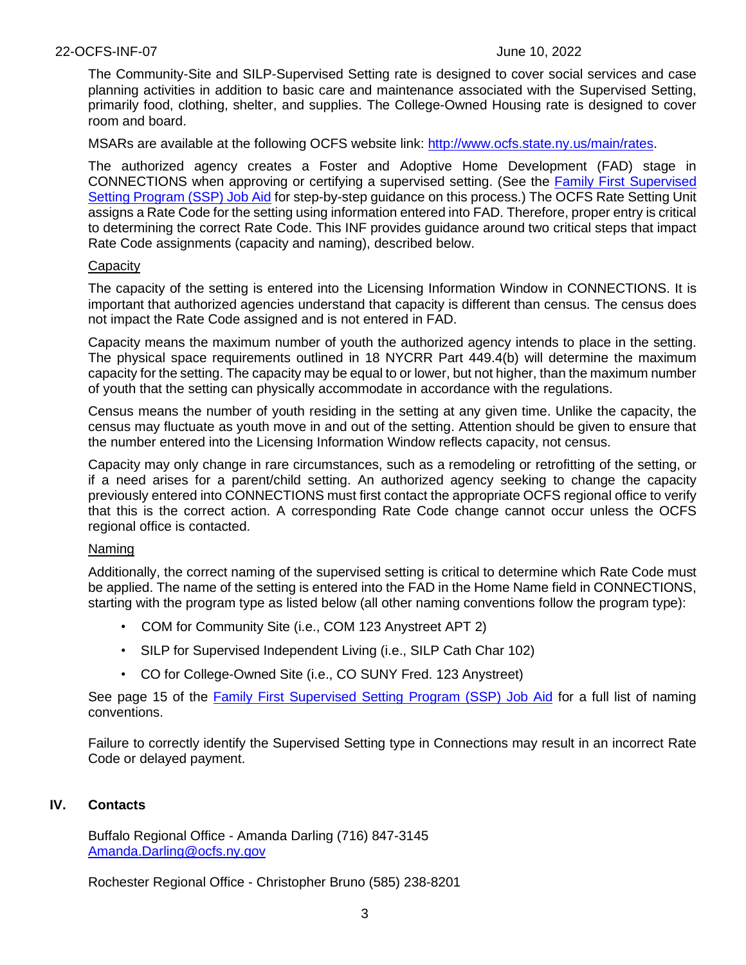### 22-OCFS-INF-07 June 10, 2022

The Community-Site and SILP-Supervised Setting rate is designed to cover social services and case planning activities in addition to basic care and maintenance associated with the Supervised Setting, primarily food, clothing, shelter, and supplies. The College-Owned Housing rate is designed to cover room and board.

MSARs are available at the following OCFS website link: [http://www.ocfs.state.ny.us/main/rates.](http://www.ocfs.state.ny.us/main/rates)

The authorized agency creates a Foster and Adoptive Home Development (FAD) stage in CONNECTIONS when approving or certifying a supervised setting. (See the Family First [Supervised](https://ocfs.ny.gov/connect/jobaides/Tip%20sheets/SSP-Job-Aid.pdf)  [Setting Program \(SSP\) Job Aid](https://ocfs.ny.gov/connect/jobaides/Tip%20sheets/SSP-Job-Aid.pdf) for step-by-step guidance on this process.) The OCFS Rate Setting Unit assigns a Rate Code for the setting using information entered into FAD. Therefore, proper entry is critical to determining the correct Rate Code. This INF provides guidance around two critical steps that impact Rate Code assignments (capacity and naming), described below.

### **Capacity**

The capacity of the setting is entered into the Licensing Information Window in CONNECTIONS. It is important that authorized agencies understand that capacity is different than census. The census does not impact the Rate Code assigned and is not entered in FAD.

Capacity means the maximum number of youth the authorized agency intends to place in the setting. The physical space requirements outlined in 18 NYCRR Part 449.4(b) will determine the maximum capacity for the setting. The capacity may be equal to or lower, but not higher, than the maximum number of youth that the setting can physically accommodate in accordance with the regulations.

Census means the number of youth residing in the setting at any given time. Unlike the capacity, the census may fluctuate as youth move in and out of the setting. Attention should be given to ensure that the number entered into the Licensing Information Window reflects capacity, not census.

Capacity may only change in rare circumstances, such as a remodeling or retrofitting of the setting, or if a need arises for a parent/child setting. An authorized agency seeking to change the capacity previously entered into CONNECTIONS must first contact the appropriate OCFS regional office to verify that this is the correct action. A corresponding Rate Code change cannot occur unless the OCFS regional office is contacted.

### Naming

Additionally, the correct naming of the supervised setting is critical to determine which Rate Code must be applied. The name of the setting is entered into the FAD in the Home Name field in CONNECTIONS, starting with the program type as listed below (all other naming conventions follow the program type):

- COM for Community Site (i.e., COM 123 Anystreet APT 2)
- SILP for Supervised Independent Living (i.e., SILP Cath Char 102)
- CO for College-Owned Site (i.e., CO SUNY Fred. 123 Anystreet)

See page 15 of the **Family First [Supervised Setting](https://ocfs.ny.gov/connect/jobaides/Tip%20sheets/SSP-Job-Aid.pdf) Program (SSP)** Job Aid for a full list of naming conventions.

Failure to correctly identify the Supervised Setting type in Connections may result in an incorrect Rate Code or delayed payment.

# **IV. Contacts**

Buffalo Regional Office - Amanda Darling (716) 847-3145 [Amanda.Darling@ocfs.ny.gov](mailto:Amanda.Darling@ocfs.ny.gov)

Rochester Regional Office - Christopher Bruno (585) 238-8201